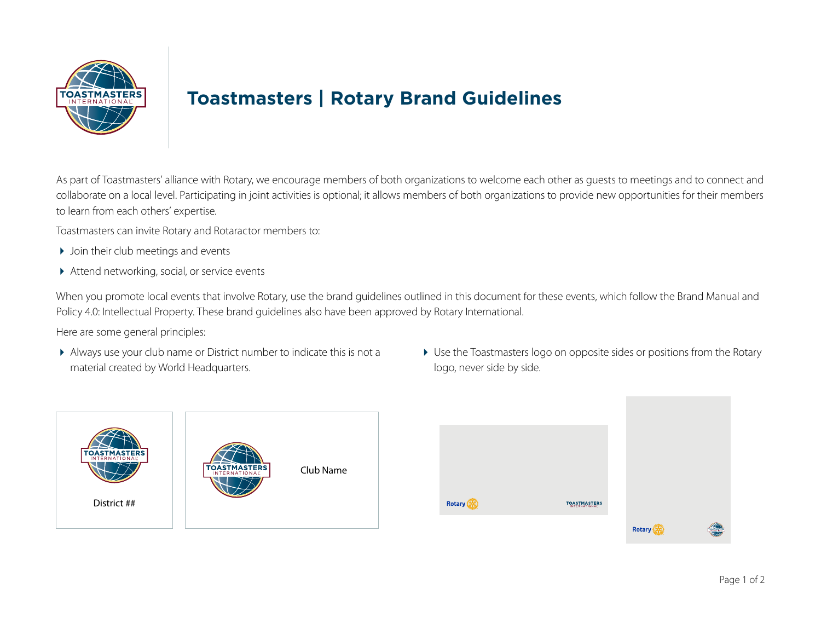

## **Toastmasters | Rotary Brand Guidelines**

As part of Toastmasters' alliance with Rotary, we encourage members of both organizations to welcome each other as guests to meetings and to connect and collaborate on a local level. Participating in joint activities is optional; it allows members of both organizations to provide new opportunities for their members to learn from each others' expertise.

Toastmasters can invite Rotary and Rotaractor members to:

- ▶ Join their club meetings and events
- Attend networking, social, or service events

When you promote local events that involve Rotary, use the brand guidelines outlined in this document for these events, which follow the Brand Manual and Policy 4.0: Intellectual Property. These brand guidelines also have been approved by Rotary International.

Here are some general principles:

 Always use your club name or District number to indicate this is not a material created by World Headquarters.



 Use the Toastmasters logo on opposite sides or positions from the Rotary logo, never side by side.